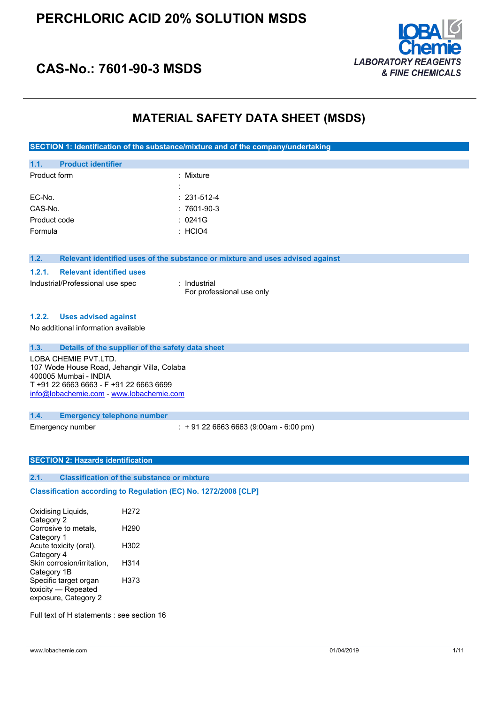

### **CAS-No.: 7601-90-3 MSDS**

### **MATERIAL SAFETY DATA SHEET (MSDS)**

**SECTION 1: Identification of the substance/mixture and of the company/undertaking**

| 1.1.         | <b>Product identifier</b> |                     |                    |
|--------------|---------------------------|---------------------|--------------------|
| Product form |                           |                     | : Mixture          |
|              |                           | ٠<br>$\blacksquare$ |                    |
| EC-No.       |                           |                     | $: 231 - 512 - 4$  |
| CAS-No.      |                           |                     | $:7601-90-3$       |
| Product code |                           |                     | : 0241G            |
| Formula      |                           |                     | $\therefore$ HCIO4 |
|              |                           |                     |                    |

#### **1.2. Relevant identified uses of the substance or mixture and uses advised against**

#### **1.2.1. Relevant identified uses**

Industrial/Professional use spec : Industrial

For professional use only

#### **1.2.2. Uses advised against**

No additional information available

| 1.3.<br>Details of the supplier of the safety data sheet                                                                                                                            |                                             |  |  |
|-------------------------------------------------------------------------------------------------------------------------------------------------------------------------------------|---------------------------------------------|--|--|
| LOBA CHEMIE PVT.LTD.<br>107 Wode House Road, Jehangir Villa, Colaba<br>400005 Mumbai - INDIA<br>T +91 22 6663 6663 - F +91 22 6663 6699<br>info@lobachemie.com - www.lobachemie.com |                                             |  |  |
| 1.4.<br><b>Emergency telephone number</b>                                                                                                                                           |                                             |  |  |
| Emergency number                                                                                                                                                                    | $\div$ + 91 22 6663 6663 (9:00am - 6:00 pm) |  |  |

#### **SECTION 2: Hazards identification**

#### **2.1. Classification of the substance or mixture**

### $C$ lassification  $\text{according to Regulation (EC)}$  No.  $1272/2008$  [CLP]

Oxidising Liquids, Category 2 H272 Corrosive to metals, Category 1 H290 Acute toxicity (oral), Category 4 H302 Skin corrosion/irritation, Category 1B H314 Specific target organ toxicity — Repeated exposure, Category 2 H373

Full text of H statements : see section 16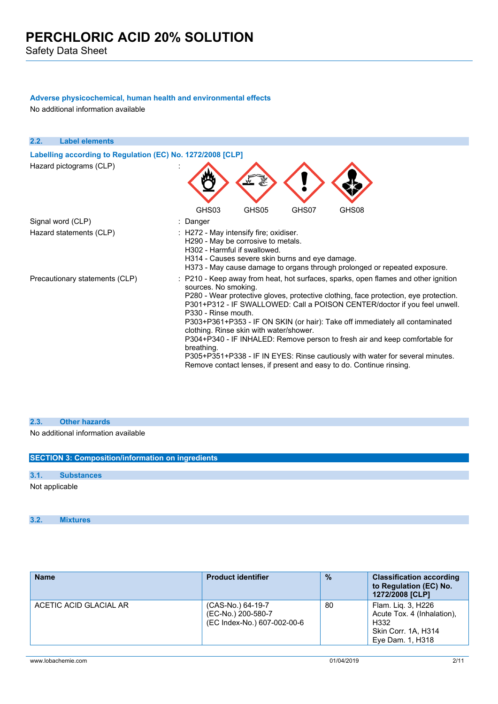#### **Adverse physicochemical, human health and environmental effects**

No additional information available

| 2.2. | <b>Label elements</b>                                      |                                                                                                                                                                 |       |       |                                                                                                                                                                                                                                                                                                                                                                                                                                                                                                                                                                                |  |
|------|------------------------------------------------------------|-----------------------------------------------------------------------------------------------------------------------------------------------------------------|-------|-------|--------------------------------------------------------------------------------------------------------------------------------------------------------------------------------------------------------------------------------------------------------------------------------------------------------------------------------------------------------------------------------------------------------------------------------------------------------------------------------------------------------------------------------------------------------------------------------|--|
|      | Labelling according to Regulation (EC) No. 1272/2008 [CLP] |                                                                                                                                                                 |       |       |                                                                                                                                                                                                                                                                                                                                                                                                                                                                                                                                                                                |  |
|      | Hazard pictograms (CLP)                                    |                                                                                                                                                                 |       |       |                                                                                                                                                                                                                                                                                                                                                                                                                                                                                                                                                                                |  |
|      |                                                            | GHS03                                                                                                                                                           | GHS05 | GHS07 | GHS08                                                                                                                                                                                                                                                                                                                                                                                                                                                                                                                                                                          |  |
|      | Signal word (CLP)                                          | : Danger                                                                                                                                                        |       |       |                                                                                                                                                                                                                                                                                                                                                                                                                                                                                                                                                                                |  |
|      | Hazard statements (CLP)                                    | : H272 - May intensify fire; oxidiser.<br>H290 - May be corrosive to metals.<br>H302 - Harmful if swallowed.<br>H314 - Causes severe skin burns and eye damage. |       |       | H373 - May cause damage to organs through prolonged or repeated exposure.                                                                                                                                                                                                                                                                                                                                                                                                                                                                                                      |  |
|      | Precautionary statements (CLP)                             | sources. No smoking.<br>P330 - Rinse mouth.<br>clothing. Rinse skin with water/shower.<br>breathing.                                                            |       |       | : P210 - Keep away from heat, hot surfaces, sparks, open flames and other ignition<br>P280 - Wear protective gloves, protective clothing, face protection, eye protection.<br>P301+P312 - IF SWALLOWED: Call a POISON CENTER/doctor if you feel unwell.<br>P303+P361+P353 - IF ON SKIN (or hair): Take off immediately all contaminated<br>P304+P340 - IF INHALED: Remove person to fresh air and keep comfortable for<br>P305+P351+P338 - IF IN EYES: Rinse cautiously with water for several minutes.<br>Remove contact lenses, if present and easy to do. Continue rinsing. |  |

#### **2.3. Other hazards**

No additional information available

|      | <b>SECTION 3: Composition/information on ingredients</b> |
|------|----------------------------------------------------------|
| 3.1. | <b>Substances</b>                                        |
|      | Not applicable                                           |

**3.2. Mixtures**

| <b>Name</b>            | <b>Product identifier</b>                                              | $\frac{0}{2}$ | <b>Classification according</b><br>to Regulation (EC) No.<br>1272/2008 [CLP]                        |
|------------------------|------------------------------------------------------------------------|---------------|-----------------------------------------------------------------------------------------------------|
| ACETIC ACID GLACIAL AR | (CAS-No.) 64-19-7<br>(EC-No.) 200-580-7<br>(EC Index-No.) 607-002-00-6 | 80            | Flam. Lig. 3, H226<br>Acute Tox. 4 (Inhalation).<br>H332<br>Skin Corr. 1A, H314<br>Eye Dam. 1, H318 |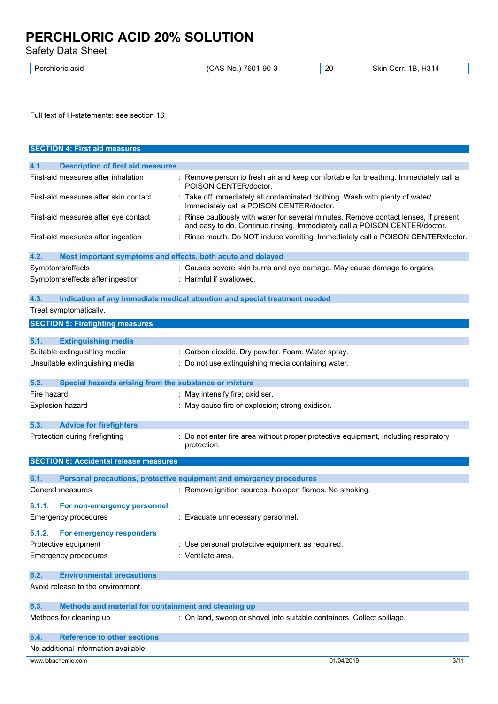Safety Data Sheet

| $\mathbf{r}$<br>acio<br>mioric | 20<br>າ1-90-ພ<br>7601<br>.Nr<br>--<br>$\sim$ | ി31ച<br>Skir<br>1Б<br>. .orr<br>ື |
|--------------------------------|----------------------------------------------|-----------------------------------|
|--------------------------------|----------------------------------------------|-----------------------------------|

Full text of H-statements: see section 16

| <b>SECTION 4: First aid measures</b>                                |                                                                                                                                                                    |
|---------------------------------------------------------------------|--------------------------------------------------------------------------------------------------------------------------------------------------------------------|
| 4.1.<br><b>Description of first aid measures</b>                    |                                                                                                                                                                    |
| First-aid measures after inhalation                                 | : Remove person to fresh air and keep comfortable for breathing. Immediately call a<br>POISON CENTER/doctor.                                                       |
| First-aid measures after skin contact                               | : Take off immediately all contaminated clothing. Wash with plenty of water/<br>Immediately call a POISON CENTER/doctor.                                           |
| First-aid measures after eye contact                                | : Rinse cautiously with water for several minutes. Remove contact lenses, if present<br>and easy to do. Continue rinsing. Immediately call a POISON CENTER/doctor. |
| First-aid measures after ingestion                                  | : Rinse mouth. Do NOT induce vomiting. Immediately call a POISON CENTER/doctor.                                                                                    |
| 4.2.<br>Most important symptoms and effects, both acute and delayed |                                                                                                                                                                    |
| Symptoms/effects                                                    | : Causes severe skin burns and eye damage. May cause damage to organs.                                                                                             |
| Symptoms/effects after ingestion                                    | : Harmful if swallowed.                                                                                                                                            |
| 4.3.                                                                | Indication of any immediate medical attention and special treatment needed                                                                                         |
| Treat symptomatically.                                              |                                                                                                                                                                    |
| <b>SECTION 5: Firefighting measures</b>                             |                                                                                                                                                                    |
| 5.1.<br><b>Extinguishing media</b>                                  |                                                                                                                                                                    |
| Suitable extinguishing media                                        | : Carbon dioxide. Dry powder. Foam. Water spray.                                                                                                                   |
| Unsuitable extinguishing media                                      | : Do not use extinguishing media containing water.                                                                                                                 |
|                                                                     |                                                                                                                                                                    |
| 5.2.<br>Special hazards arising from the substance or mixture       |                                                                                                                                                                    |
| Fire hazard                                                         | : May intensify fire; oxidiser.                                                                                                                                    |
| Explosion hazard                                                    | : May cause fire or explosion; strong oxidiser.                                                                                                                    |
| 5.3.<br><b>Advice for firefighters</b>                              |                                                                                                                                                                    |
| Protection during firefighting                                      | Do not enter fire area without proper protective equipment, including respiratory<br>protection.                                                                   |
| <b>SECTION 6: Accidental release measures</b>                       |                                                                                                                                                                    |
| 6.1.                                                                | Personal precautions, protective equipment and emergency procedures                                                                                                |
| General measures                                                    | : Remove ignition sources. No open flames. No smoking.                                                                                                             |
|                                                                     |                                                                                                                                                                    |
| 6.1.1.<br>For non-emergency personnel                               |                                                                                                                                                                    |
| <b>Emergency procedures</b>                                         | : Evacuate unnecessary personnel.                                                                                                                                  |
| For emergency responders<br>6.1.2.                                  |                                                                                                                                                                    |
| Protective equipment                                                | : Use personal protective equipment as required.                                                                                                                   |
| <b>Emergency procedures</b>                                         | : Ventilate area.                                                                                                                                                  |
| <b>Environmental precautions</b><br>6.2.                            |                                                                                                                                                                    |
| Avoid release to the environment.                                   |                                                                                                                                                                    |
| Methods and material for containment and cleaning up<br>6.3.        |                                                                                                                                                                    |
| Methods for cleaning up                                             | : On land, sweep or shovel into suitable containers. Collect spillage.                                                                                             |
| <b>Reference to other sections</b><br>6.4.                          |                                                                                                                                                                    |
| No additional information available                                 |                                                                                                                                                                    |
| www.lobachemie.com                                                  | 01/04/2019<br>3/11                                                                                                                                                 |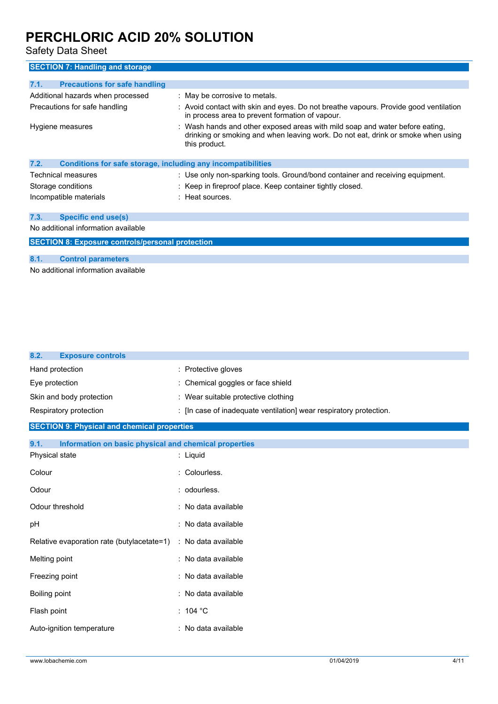Safety Data Sheet

| <b>SECTION 7: Handling and storage</b>                               |                                                                                                                                                                                   |  |  |
|----------------------------------------------------------------------|-----------------------------------------------------------------------------------------------------------------------------------------------------------------------------------|--|--|
| 7.1.<br><b>Precautions for safe handling</b>                         |                                                                                                                                                                                   |  |  |
| Additional hazards when processed                                    | : May be corrosive to metals.                                                                                                                                                     |  |  |
| Precautions for safe handling                                        | : Avoid contact with skin and eyes. Do not breathe vapours. Provide good ventilation<br>in process area to prevent formation of vapour.                                           |  |  |
| Hygiene measures                                                     | : Wash hands and other exposed areas with mild soap and water before eating,<br>drinking or smoking and when leaving work. Do not eat, drink or smoke when using<br>this product. |  |  |
| 7.2.<br>Conditions for safe storage, including any incompatibilities |                                                                                                                                                                                   |  |  |
| Technical measures                                                   | : Use only non-sparking tools. Ground/bond container and receiving equipment.                                                                                                     |  |  |
| Storage conditions                                                   | : Keep in fireproof place. Keep container tightly closed.                                                                                                                         |  |  |
| Incompatible materials                                               | $:$ Heat sources.                                                                                                                                                                 |  |  |
| 7.3.<br><b>Specific end use(s)</b>                                   |                                                                                                                                                                                   |  |  |
| No additional information available                                  |                                                                                                                                                                                   |  |  |
| <b>SECTION 8: Exposure controls/personal protection</b>              |                                                                                                                                                                                   |  |  |
|                                                                      |                                                                                                                                                                                   |  |  |
| 8.1.<br><b>Control parameters</b>                                    |                                                                                                                                                                                   |  |  |

No additional information available

| : Protective gloves                                                |  |  |
|--------------------------------------------------------------------|--|--|
| Chemical goggles or face shield                                    |  |  |
| : Wear suitable protective clothing                                |  |  |
| : [In case of inadequate ventilation] wear respiratory protection. |  |  |
| <b>SECTION 9: Physical and chemical properties</b>                 |  |  |
| Information on basic physical and chemical properties              |  |  |
| : Liquid                                                           |  |  |
| Colourless.                                                        |  |  |
| odourless.                                                         |  |  |
| : No data available                                                |  |  |
| No data available                                                  |  |  |
| Relative evaporation rate (butylacetate=1)<br>: No data available  |  |  |
| No data available<br>÷                                             |  |  |
| : No data available                                                |  |  |
| : No data available                                                |  |  |
| : 104 $^{\circ}$ C                                                 |  |  |
| : No data available                                                |  |  |
|                                                                    |  |  |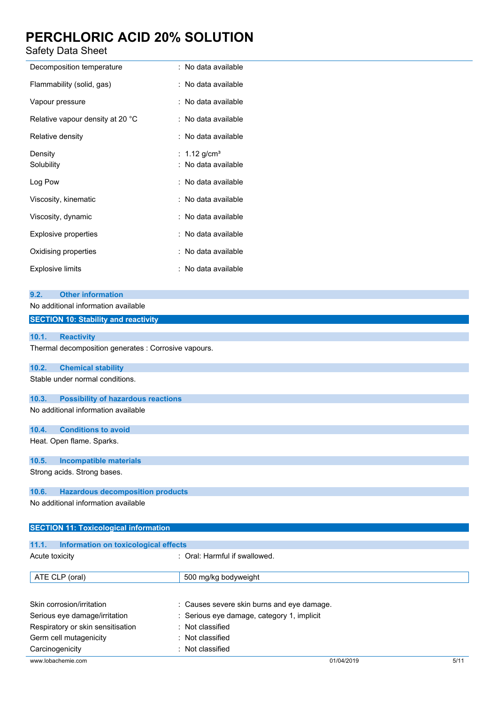### Safety Data Sheet

| Decomposition temperature        | : No data available                             |
|----------------------------------|-------------------------------------------------|
| Flammability (solid, gas)        | : No data available                             |
| Vapour pressure                  | : No data available                             |
| Relative vapour density at 20 °C | : No data available                             |
| Relative density                 | : No data available                             |
| Density<br>Solubility            | : 1.12 g/cm <sup>3</sup><br>: No data available |
| Log Pow                          | : No data available                             |
| Viscosity, kinematic             | : No data available                             |
| Viscosity, dynamic               | : No data available                             |
| <b>Explosive properties</b>      | : No data available                             |
| Oxidising properties             | : No data available                             |
| <b>Explosive limits</b>          | : No data available                             |

| <b>Other information</b><br>9.2.                     |
|------------------------------------------------------|
| No additional information available                  |
| <b>SECTION 10: Stability and reactivity</b>          |
|                                                      |
| 10.1.<br><b>Reactivity</b>                           |
| Thermal decomposition generates : Corrosive vapours. |
| 10.2.<br><b>Chemical stability</b>                   |
| Stable under normal conditions.                      |
| 10.3.<br><b>Possibility of hazardous reactions</b>   |
| No additional information available                  |
| <b>Conditions to avoid</b><br>10.4.                  |
| Heat. Open flame. Sparks.                            |
| 10.5.<br><b>Incompatible materials</b>               |
| Strong acids. Strong bases.                          |
| 10.6.<br><b>Hazardous decomposition products</b>     |
| No additional information available                  |
| <b>SECTION 11: Toxicological information</b>         |

**11.1. Information on toxicological effects** Acute toxicity **in the same of the Caucase** of Cral: Harmful if swallowed. ATE CLP (oral) 600 mg/kg bodyweight Skin corrosion/irritation : Causes severe skin burns and eye damage. Serious eye damage/irritation : Serious eye damage, category 1, implicit Respiratory or skin sensitisation : Not classified Germ cell mutagenicity **in the COV** classified Carcinogenicity **Carcinogenicity** : Not classified

www.lobachemie.com 61/04/2019 5/11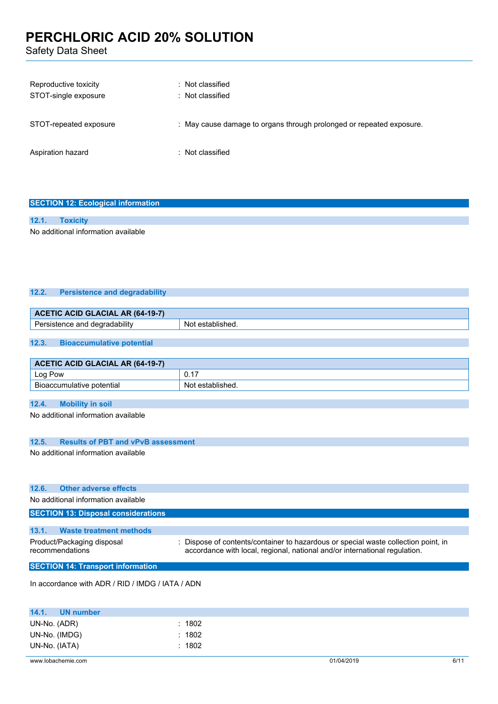Safety Data Sheet

| Reproductive toxicity<br>STOT-single exposure | : Not classified<br>: Not classified                                 |
|-----------------------------------------------|----------------------------------------------------------------------|
| STOT-repeated exposure                        | : May cause damage to organs through prolonged or repeated exposure. |
| Aspiration hazard                             | : Not classified                                                     |

#### **SECTION 12: Ecological information**

#### **12.1. Toxicity**

No additional information available

#### **12.2. Persistence and degradability**

| <b>ACETIC ACID GLACIAL AR (64-19-7)</b> |                                  |                  |  |  |
|-----------------------------------------|----------------------------------|------------------|--|--|
| Persistence and degradability           |                                  | Not established. |  |  |
|                                         |                                  |                  |  |  |
| 12.3.                                   | <b>Bioaccumulative potential</b> |                  |  |  |

| <b>ACETIC ACID GLACIAL AR (64-19-7)</b> |                  |  |
|-----------------------------------------|------------------|--|
| ∟og Pow                                 | 0.17             |  |
| . Bioaccumulative potential             | Not established. |  |

#### **12.4. Mobility in soil**

No additional information available

#### **12.5. Results of PBT and vPvB assessment**

No additional information available

#### **12.6. Other adverse effects**

No additional information available

#### **SECTION 13: Disposal considerations 13.1. Waste treatment methods** Product/Packaging disposal recommendations : Dispose of contents/container to hazardous or special waste collection point, in accordance with local, regional, national and/or international regulation. **SECTION 14: Transport information**

In accordance with ADR / RID / IMDG / IATA / ADN

| 14.1.         | UN number     |        |
|---------------|---------------|--------|
| UN-No. (ADR)  |               | : 1802 |
|               | UN-No. (IMDG) | : 1802 |
| UN-No. (IATA) |               | : 1802 |
|               |               |        |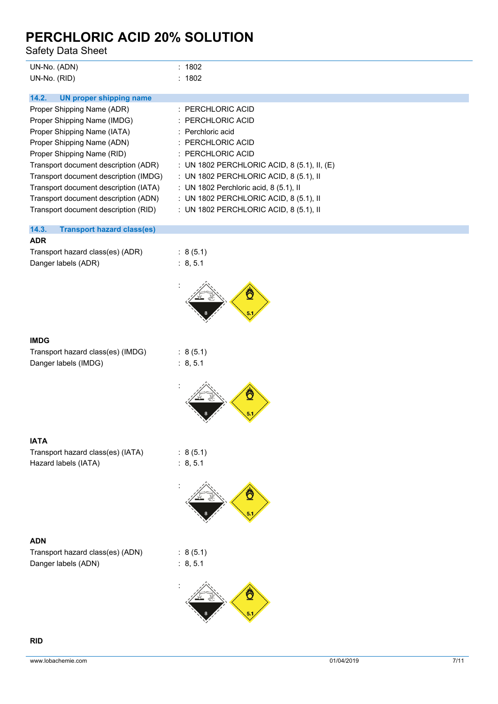Safety Data Sheet

| Safety Data Sheet                                                                                                                                                                                                                                                                                                                                              |                                                                                                                                                                                                                                                                                                                          |
|----------------------------------------------------------------------------------------------------------------------------------------------------------------------------------------------------------------------------------------------------------------------------------------------------------------------------------------------------------------|--------------------------------------------------------------------------------------------------------------------------------------------------------------------------------------------------------------------------------------------------------------------------------------------------------------------------|
| UN-No. (ADN)<br>UN-No. (RID)                                                                                                                                                                                                                                                                                                                                   | : 1802<br>: 1802                                                                                                                                                                                                                                                                                                         |
| 14.2.<br><b>UN proper shipping name</b>                                                                                                                                                                                                                                                                                                                        |                                                                                                                                                                                                                                                                                                                          |
| Proper Shipping Name (ADR)<br>Proper Shipping Name (IMDG)<br>Proper Shipping Name (IATA)<br>Proper Shipping Name (ADN)<br>Proper Shipping Name (RID)<br>Transport document description (ADR)<br>Transport document description (IMDG)<br>Transport document description (IATA)<br>Transport document description (ADN)<br>Transport document description (RID) | : PERCHLORIC ACID<br>PERCHLORIC ACID<br>Perchloric acid<br>: PERCHLORIC ACID<br>: PERCHLORIC ACID<br>: UN 1802 PERCHLORIC ACID, 8 (5.1), II, (E)<br>: UN 1802 PERCHLORIC ACID, 8 (5.1), II<br>: UN 1802 Perchloric acid, 8 (5.1), II<br>: UN 1802 PERCHLORIC ACID, 8 (5.1), II<br>: UN 1802 PERCHLORIC ACID, 8 (5.1), II |
| 14.3.<br><b>Transport hazard class(es)</b>                                                                                                                                                                                                                                                                                                                     |                                                                                                                                                                                                                                                                                                                          |
| <b>ADR</b><br>Transport hazard class(es) (ADR)<br>Danger labels (ADR)                                                                                                                                                                                                                                                                                          | : 8(5.1)<br>: 8, 5.1                                                                                                                                                                                                                                                                                                     |
| <b>IMDG</b>                                                                                                                                                                                                                                                                                                                                                    |                                                                                                                                                                                                                                                                                                                          |
| Transport hazard class(es) (IMDG)<br>Danger labels (IMDG)                                                                                                                                                                                                                                                                                                      | : 8(5.1)<br>: 8, 5.1                                                                                                                                                                                                                                                                                                     |
| <b>IATA</b>                                                                                                                                                                                                                                                                                                                                                    |                                                                                                                                                                                                                                                                                                                          |
| Transport hazard class(es) (IATA)<br>Hazard labels (IATA)                                                                                                                                                                                                                                                                                                      | : 8(5.1)<br>: 8, 5.1                                                                                                                                                                                                                                                                                                     |
|                                                                                                                                                                                                                                                                                                                                                                |                                                                                                                                                                                                                                                                                                                          |
| <b>ADN</b><br>Transport hazard class(es) (ADN)<br>Danger labels (ADN)                                                                                                                                                                                                                                                                                          | : 8(5.1)<br>: 8, 5.1                                                                                                                                                                                                                                                                                                     |
|                                                                                                                                                                                                                                                                                                                                                                |                                                                                                                                                                                                                                                                                                                          |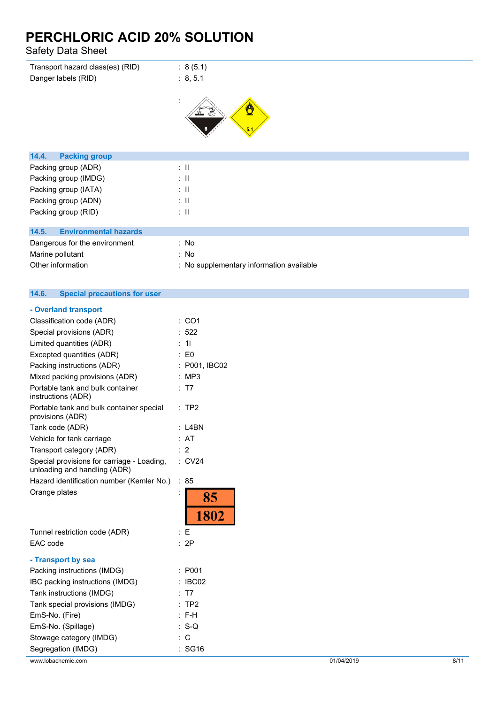Safety Data Sheet

| Transport hazard class(es) (RID)      | : 8(5.1)                                 |
|---------------------------------------|------------------------------------------|
| Danger labels (RID)                   | : 8, 5.1                                 |
|                                       |                                          |
|                                       | Ö                                        |
| 14.4.<br><b>Packing group</b>         |                                          |
| Packing group (ADR)                   | $\mathbb{Z}^{\mathbb{Z}}$                |
| Packing group (IMDG)                  | $\mathbb{Z}^{\mathbb{Z}}$                |
| Packing group (IATA)                  | $\therefore$ 11                          |
| Packing group (ADN)                   | $\mathbb{Z}^{\mathbb{Z}}$                |
| Packing group (RID)                   | $\mathbb{Z}^{\mathbb{Z}}$                |
|                                       |                                          |
| 14.5.<br><b>Environmental hazards</b> |                                          |
| Dangerous for the environment         | : No                                     |
| Marine pollutant                      | : No                                     |
| Other information                     | : No supplementary information available |

#### $14.6.$ **14.6. Special precautions for user**

| - Overland transport                                                       |                |                   |
|----------------------------------------------------------------------------|----------------|-------------------|
| Classification code (ADR)                                                  |                | CO <sub>1</sub>   |
| Special provisions (ADR)                                                   |                | 522               |
| Limited quantities (ADR)                                                   |                | 11                |
| Excepted quantities (ADR)                                                  |                | E <sub>0</sub>    |
| Packing instructions (ADR)                                                 |                | P001, IBC02       |
| Mixed packing provisions (ADR)                                             |                | MP <sub>3</sub>   |
| Portable tank and bulk container<br>instructions (ADR)                     |                | : T7              |
| Portable tank and bulk container special<br>provisions (ADR)               |                | TP <sub>2</sub>   |
| Tank code (ADR)                                                            |                | L4BN              |
| Vehicle for tank carriage                                                  |                | AT                |
| Transport category (ADR)                                                   |                | $\overline{2}$    |
| Special provisions for carriage - Loading,<br>unloading and handling (ADR) |                | $\therefore$ CV24 |
| Hazard identification number (Kemler No.)                                  | $\ddot{\cdot}$ | 85                |
|                                                                            |                |                   |
| Orange plates                                                              | $\ddot{\cdot}$ | 85                |
|                                                                            |                | 1802              |
| Tunnel restriction code (ADR)                                              |                | : E               |
| EAC code                                                                   |                | 2P                |
| - Transport by sea                                                         |                |                   |
| Packing instructions (IMDG)                                                |                | P001              |
| IBC packing instructions (IMDG)                                            |                | IBC02             |
| Tank instructions (IMDG)                                                   |                | T7                |
| Tank special provisions (IMDG)                                             |                | TP <sub>2</sub>   |
| EmS-No. (Fire)                                                             |                | : F-H             |
| EmS-No. (Spillage)                                                         |                | $S-Q$             |
| Stowage category (IMDG)                                                    | ÷              | C                 |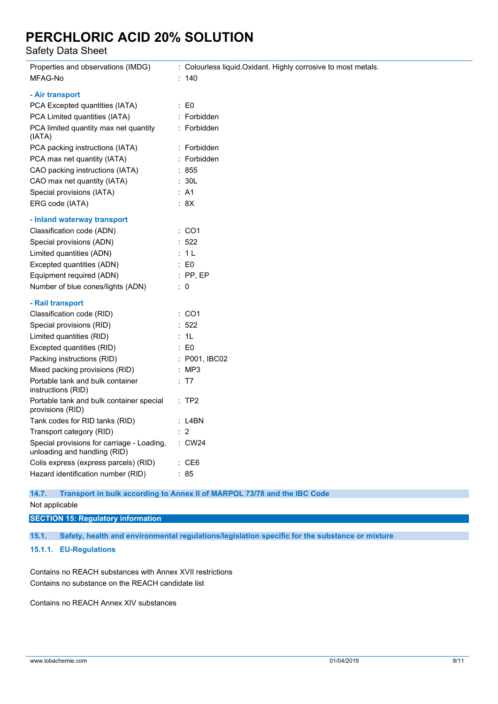Safety Data Sheet

| Properties and observations (IMDG)                                         | : Colourless liquid. Oxidant. Highly corrosive to most metals. |
|----------------------------------------------------------------------------|----------------------------------------------------------------|
| MFAG-No                                                                    | : 140                                                          |
| - Air transport                                                            |                                                                |
| PCA Excepted quantities (IATA)                                             | $\therefore$ EO                                                |
| PCA Limited quantities (IATA)                                              | : Forbidden                                                    |
| PCA limited quantity max net quantity<br>(IATA)                            | : Forbidden                                                    |
| PCA packing instructions (IATA)                                            | : Forbidden                                                    |
| PCA max net quantity (IATA)                                                | : Forbidden                                                    |
| CAO packing instructions (IATA)                                            | : 855                                                          |
| CAO max net quantity (IATA)                                                | : 30L                                                          |
| Special provisions (IATA)                                                  | : A1                                                           |
| ERG code (IATA)                                                            | : 8X                                                           |
| - Inland waterway transport                                                |                                                                |
| Classification code (ADN)                                                  | $\therefore$ CO1                                               |
| Special provisions (ADN)                                                   | $\therefore$ 522                                               |
| Limited quantities (ADN)                                                   | : 1L                                                           |
| Excepted quantities (ADN)                                                  | $\therefore$ EO                                                |
| Equipment required (ADN)                                                   | $:$ PP, EP                                                     |
| Number of blue cones/lights (ADN)                                          | $\therefore$ 0                                                 |
| - Rail transport                                                           |                                                                |
| Classification code (RID)                                                  | : CO1                                                          |
| Special provisions (RID)                                                   | : 522                                                          |
| Limited quantities (RID)                                                   | : 1L                                                           |
| Excepted quantities (RID)                                                  | $\therefore$ EO                                                |
| Packing instructions (RID)                                                 | : P001, IBCO2                                                  |
| Mixed packing provisions (RID)                                             | : MP3                                                          |
| Portable tank and bulk container<br>instructions (RID)                     | : T7                                                           |
| Portable tank and bulk container special<br>provisions (RID)               | :TP2                                                           |
| Tank codes for RID tanks (RID)                                             | : L4BN                                                         |
| Transport category (RID)                                                   | : 2                                                            |
| Special provisions for carriage - Loading,<br>unloading and handling (RID) | : CW24                                                         |
| Colis express (express parcels) (RID)                                      | : CE6                                                          |
| Hazard identification number (RID)                                         | : 85                                                           |
|                                                                            |                                                                |

#### **14.7. Transport in bulk according to Annex II of MARPOL 73/78 and the IBC Code**

Not applicable

**SECTION 15: Regulatory information**

**15.1. Safety, health and environmental regulations/legislation specific for the substance or mixture**

#### **15.1.1. EU-Regulations**

Contains no REACH substances with Annex XVII restrictions Contains no substance on the REACH candidate list

Contains no REACH Annex XIV substances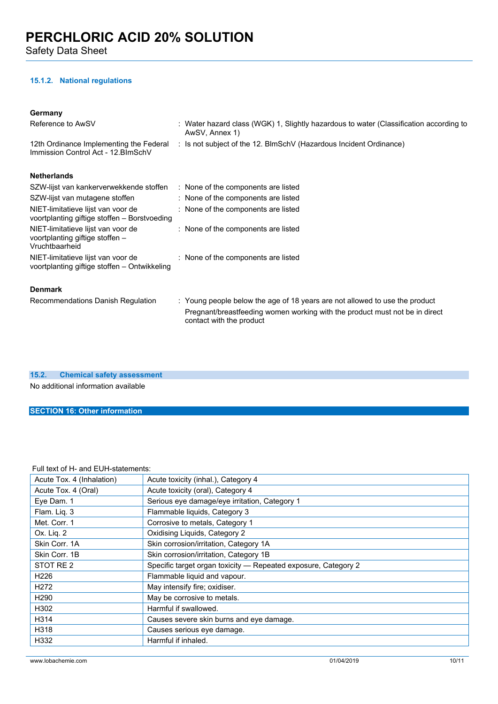**15.1.2. National regulations**

| Germanv |
|---------|
|         |

| Reference to AwSV                                                                       | : Water hazard class (WGK) 1, Slightly hazardous to water (Classification according to<br>AwSV, Annex 1) |
|-----------------------------------------------------------------------------------------|----------------------------------------------------------------------------------------------------------|
| 12th Ordinance Implementing the Federal<br>Immission Control Act - 12. BlmSchV          | : Is not subject of the 12. BlmSchV (Hazardous Incident Ordinance)                                       |
| <b>Netherlands</b>                                                                      |                                                                                                          |
| SZW-lijst van kankerverwekkende stoffen                                                 | : None of the components are listed                                                                      |
| SZW-lijst van mutagene stoffen                                                          | : None of the components are listed                                                                      |
| NIET-limitatieve lijst van voor de<br>voortplanting giftige stoffen – Borstvoeding      | : None of the components are listed                                                                      |
| NIET-limitatieve lijst van voor de<br>voortplanting giftige stoffen -<br>Vruchtbaarheid | : None of the components are listed                                                                      |
| NIET-limitatieve lijst van voor de<br>voortplanting giftige stoffen – Ontwikkeling      | : None of the components are listed                                                                      |
| <b>Denmark</b>                                                                          |                                                                                                          |
| Recommendations Danish Regulation                                                       | : Young people below the age of 18 years are not allowed to use the product                              |
|                                                                                         | Pregnant/breastfeeding women working with the product must not be in direct<br>contact with the product  |

**15.2. Chemical safety assessment**

No additional information available

#### **SECTION 16: Other information**

#### Full text of H- and EUH-statements:

| Acute Tox. 4 (Inhalation) | Acute toxicity (inhal.), Category 4                            |
|---------------------------|----------------------------------------------------------------|
| Acute Tox. 4 (Oral)       | Acute toxicity (oral), Category 4                              |
| Eye Dam. 1                | Serious eye damage/eye irritation, Category 1                  |
| Flam. Liq. 3              | Flammable liquids, Category 3                                  |
| Met. Corr. 1              | Corrosive to metals, Category 1                                |
| Ox. Lig. 2                | Oxidising Liquids, Category 2                                  |
| Skin Corr. 1A             | Skin corrosion/irritation, Category 1A                         |
| Skin Corr. 1B             | Skin corrosion/irritation, Category 1B                         |
| STOT RE <sub>2</sub>      | Specific target organ toxicity - Repeated exposure, Category 2 |
| H <sub>226</sub>          | Flammable liquid and vapour.                                   |
| H <sub>272</sub>          | May intensify fire; oxidiser.                                  |
| H <sub>290</sub>          | May be corrosive to metals.                                    |
| H302                      | Harmful if swallowed.                                          |
| H314                      | Causes severe skin burns and eye damage.                       |
| H318                      | Causes serious eye damage.                                     |
| H332                      | Harmful if inhaled.                                            |